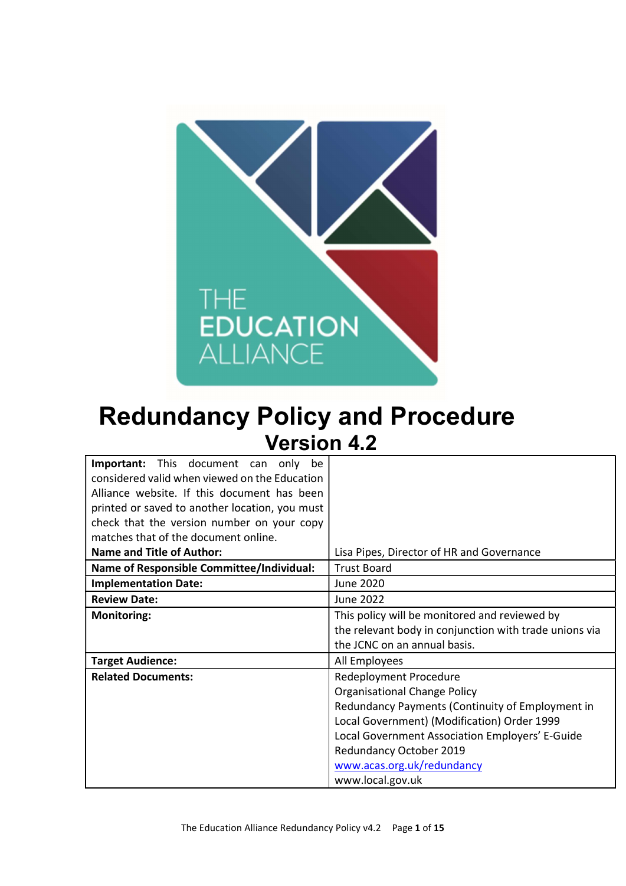

# Redundancy Policy and Procedure Version 4.2

| <b>Important:</b> This document can only be      |                                                        |  |  |  |
|--------------------------------------------------|--------------------------------------------------------|--|--|--|
| considered valid when viewed on the Education    |                                                        |  |  |  |
| Alliance website. If this document has been      |                                                        |  |  |  |
| printed or saved to another location, you must   |                                                        |  |  |  |
| check that the version number on your copy       |                                                        |  |  |  |
| matches that of the document online.             |                                                        |  |  |  |
| <b>Name and Title of Author:</b>                 | Lisa Pipes, Director of HR and Governance              |  |  |  |
| <b>Name of Responsible Committee/Individual:</b> | <b>Trust Board</b>                                     |  |  |  |
| <b>Implementation Date:</b>                      | June 2020                                              |  |  |  |
| <b>Review Date:</b>                              | <b>June 2022</b>                                       |  |  |  |
| <b>Monitoring:</b>                               | This policy will be monitored and reviewed by          |  |  |  |
|                                                  | the relevant body in conjunction with trade unions via |  |  |  |
|                                                  | the JCNC on an annual basis.                           |  |  |  |
| <b>Target Audience:</b>                          | All Employees                                          |  |  |  |
| <b>Related Documents:</b>                        | Redeployment Procedure                                 |  |  |  |
|                                                  | <b>Organisational Change Policy</b>                    |  |  |  |
|                                                  | Redundancy Payments (Continuity of Employment in       |  |  |  |
|                                                  | Local Government) (Modification) Order 1999            |  |  |  |
|                                                  | Local Government Association Employers' E-Guide        |  |  |  |
|                                                  | Redundancy October 2019                                |  |  |  |
|                                                  | www.acas.org.uk/redundancy                             |  |  |  |
|                                                  | www.local.gov.uk                                       |  |  |  |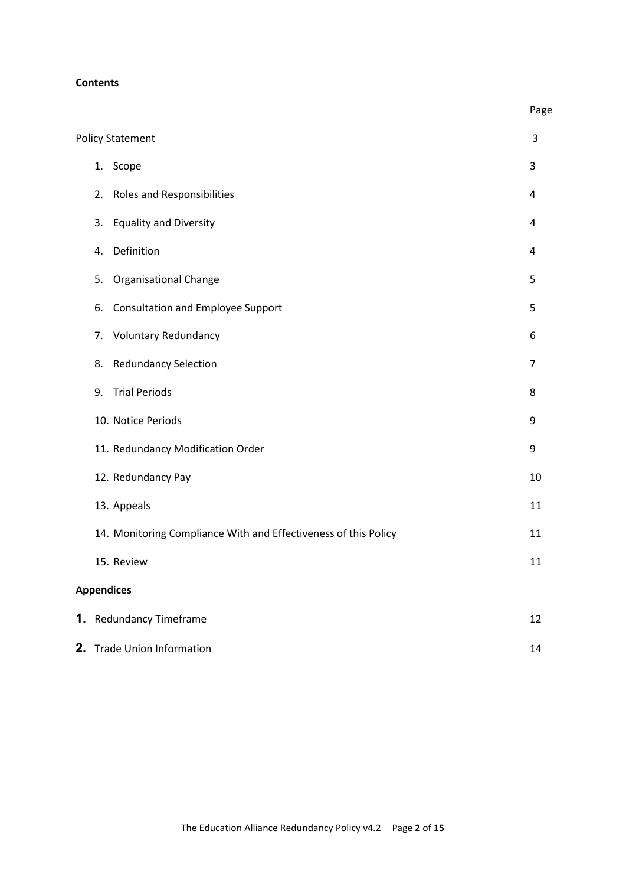#### **Contents**

|                                                                 | Page           |
|-----------------------------------------------------------------|----------------|
| <b>Policy Statement</b>                                         | 3              |
| 1. Scope                                                        | 3              |
| <b>Roles and Responsibilities</b><br>2.                         | 4              |
| <b>Equality and Diversity</b><br>3.                             | 4              |
| Definition<br>4.                                                | 4              |
| Organisational Change<br>5.                                     | 5              |
| Consultation and Employee Support<br>6.                         | 5              |
| <b>Voluntary Redundancy</b><br>7.                               | 6              |
| <b>Redundancy Selection</b><br>8.                               | $\overline{7}$ |
| <b>Trial Periods</b><br>9.                                      | 8              |
| 10. Notice Periods                                              | 9              |
| 11. Redundancy Modification Order                               | 9              |
| 12. Redundancy Pay                                              | 10             |
| 13. Appeals                                                     | 11             |
| 14. Monitoring Compliance With and Effectiveness of this Policy | 11             |
| 15. Review                                                      | 11             |
| <b>Appendices</b>                                               |                |
| 1. Redundancy Timeframe                                         | 12             |
| 2.<br><b>Trade Union Information</b>                            | 14             |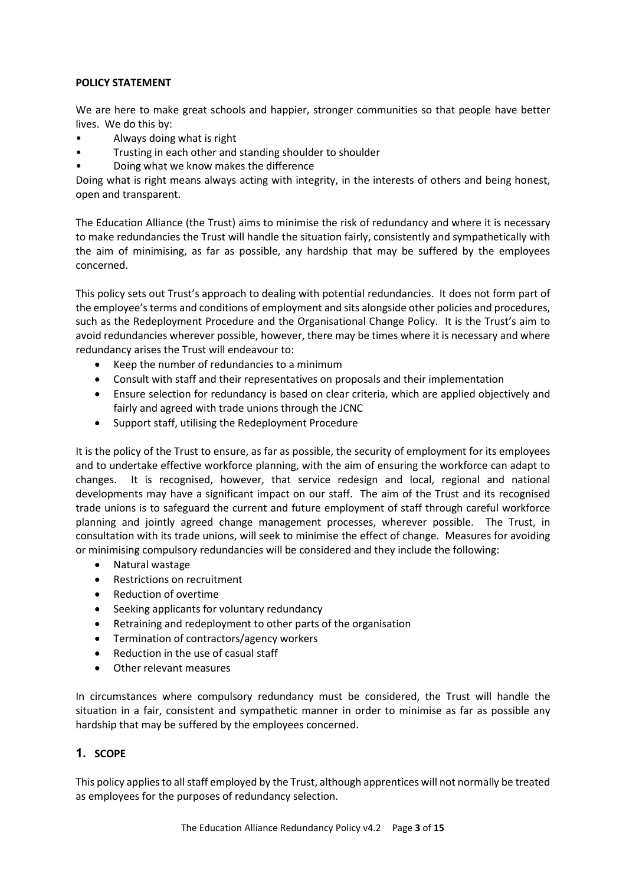#### POLICY STATEMENT

We are here to make great schools and happier, stronger communities so that people have better lives. We do this by:

- Always doing what is right
- Trusting in each other and standing shoulder to shoulder
- Doing what we know makes the difference

Doing what is right means always acting with integrity, in the interests of others and being honest, open and transparent.

The Education Alliance (the Trust) aims to minimise the risk of redundancy and where it is necessary to make redundancies the Trust will handle the situation fairly, consistently and sympathetically with the aim of minimising, as far as possible, any hardship that may be suffered by the employees concerned.

This policy sets out Trust's approach to dealing with potential redundancies. It does not form part of the employee's terms and conditions of employment and sits alongside other policies and procedures, such as the Redeployment Procedure and the Organisational Change Policy. It is the Trust's aim to avoid redundancies wherever possible, however, there may be times where it is necessary and where redundancy arises the Trust will endeavour to:

- Keep the number of redundancies to a minimum
- Consult with staff and their representatives on proposals and their implementation
- Ensure selection for redundancy is based on clear criteria, which are applied objectively and fairly and agreed with trade unions through the JCNC
- Support staff, utilising the Redeployment Procedure

It is the policy of the Trust to ensure, as far as possible, the security of employment for its employees and to undertake effective workforce planning, with the aim of ensuring the workforce can adapt to changes. It is recognised, however, that service redesign and local, regional and national developments may have a significant impact on our staff. The aim of the Trust and its recognised trade unions is to safeguard the current and future employment of staff through careful workforce planning and jointly agreed change management processes, wherever possible. The Trust, in consultation with its trade unions, will seek to minimise the effect of change. Measures for avoiding or minimising compulsory redundancies will be considered and they include the following:

- Natural wastage
- Restrictions on recruitment
- Reduction of overtime
- Seeking applicants for voluntary redundancy
- Retraining and redeployment to other parts of the organisation
- Termination of contractors/agency workers
- Reduction in the use of casual staff
- Other relevant measures

In circumstances where compulsory redundancy must be considered, the Trust will handle the situation in a fair, consistent and sympathetic manner in order to minimise as far as possible any hardship that may be suffered by the employees concerned.

#### 1. SCOPE

This policy applies to all staff employed by the Trust, although apprentices will not normally be treated as employees for the purposes of redundancy selection.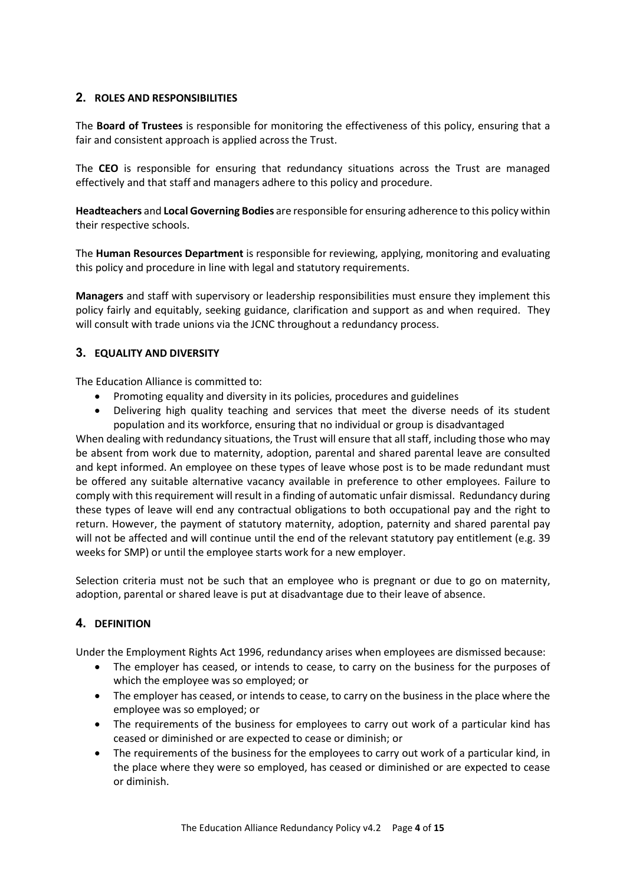#### 2. ROLES AND RESPONSIBILITIES

The **Board of Trustees** is responsible for monitoring the effectiveness of this policy, ensuring that a fair and consistent approach is applied across the Trust.

The CEO is responsible for ensuring that redundancy situations across the Trust are managed effectively and that staff and managers adhere to this policy and procedure.

Headteachers and Local Governing Bodies are responsible for ensuring adherence to this policy within their respective schools.

The Human Resources Department is responsible for reviewing, applying, monitoring and evaluating this policy and procedure in line with legal and statutory requirements.

Managers and staff with supervisory or leadership responsibilities must ensure they implement this policy fairly and equitably, seeking guidance, clarification and support as and when required. They will consult with trade unions via the JCNC throughout a redundancy process.

#### 3. EQUALITY AND DIVERSITY

The Education Alliance is committed to:

- Promoting equality and diversity in its policies, procedures and guidelines
- Delivering high quality teaching and services that meet the diverse needs of its student population and its workforce, ensuring that no individual or group is disadvantaged

When dealing with redundancy situations, the Trust will ensure that all staff, including those who may be absent from work due to maternity, adoption, parental and shared parental leave are consulted and kept informed. An employee on these types of leave whose post is to be made redundant must be offered any suitable alternative vacancy available in preference to other employees. Failure to comply with this requirement will result in a finding of automatic unfair dismissal. Redundancy during these types of leave will end any contractual obligations to both occupational pay and the right to return. However, the payment of statutory maternity, adoption, paternity and shared parental pay will not be affected and will continue until the end of the relevant statutory pay entitlement (e.g. 39 weeks for SMP) or until the employee starts work for a new employer.

Selection criteria must not be such that an employee who is pregnant or due to go on maternity, adoption, parental or shared leave is put at disadvantage due to their leave of absence.

#### 4. DEFINITION

Under the Employment Rights Act 1996, redundancy arises when employees are dismissed because:

- The employer has ceased, or intends to cease, to carry on the business for the purposes of which the employee was so employed; or
- The employer has ceased, or intends to cease, to carry on the business in the place where the employee was so employed; or
- The requirements of the business for employees to carry out work of a particular kind has ceased or diminished or are expected to cease or diminish; or
- The requirements of the business for the employees to carry out work of a particular kind, in the place where they were so employed, has ceased or diminished or are expected to cease or diminish.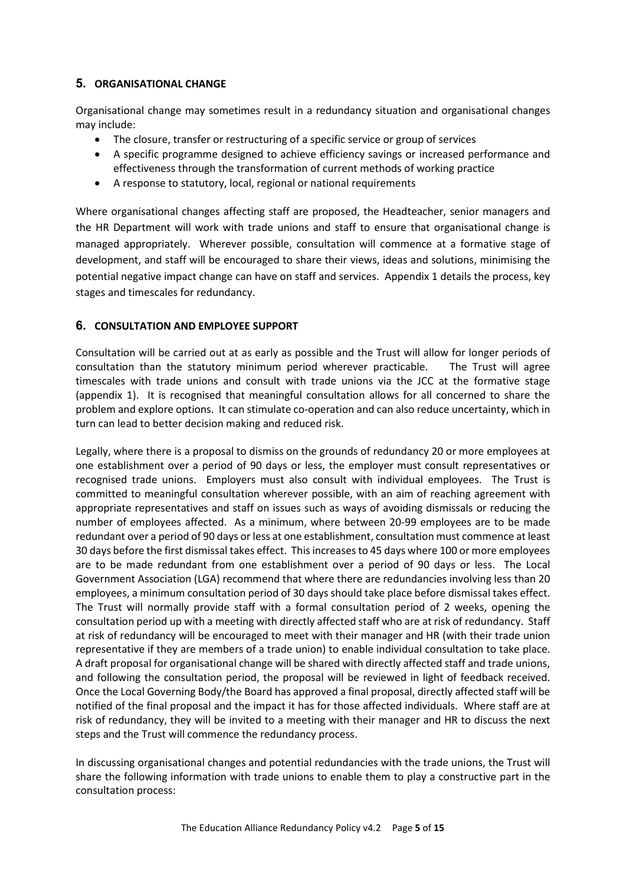# 5. ORGANISATIONAL CHANGE

Organisational change may sometimes result in a redundancy situation and organisational changes may include:

- The closure, transfer or restructuring of a specific service or group of services
- A specific programme designed to achieve efficiency savings or increased performance and effectiveness through the transformation of current methods of working practice
- A response to statutory, local, regional or national requirements

Where organisational changes affecting staff are proposed, the Headteacher, senior managers and the HR Department will work with trade unions and staff to ensure that organisational change is managed appropriately. Wherever possible, consultation will commence at a formative stage of development, and staff will be encouraged to share their views, ideas and solutions, minimising the potential negative impact change can have on staff and services. Appendix 1 details the process, key stages and timescales for redundancy.

# 6. CONSULTATION AND EMPLOYEE SUPPORT

Consultation will be carried out at as early as possible and the Trust will allow for longer periods of consultation than the statutory minimum period wherever practicable. The Trust will agree timescales with trade unions and consult with trade unions via the JCC at the formative stage (appendix 1). It is recognised that meaningful consultation allows for all concerned to share the problem and explore options. It can stimulate co-operation and can also reduce uncertainty, which in turn can lead to better decision making and reduced risk.

Legally, where there is a proposal to dismiss on the grounds of redundancy 20 or more employees at one establishment over a period of 90 days or less, the employer must consult representatives or recognised trade unions. Employers must also consult with individual employees. The Trust is committed to meaningful consultation wherever possible, with an aim of reaching agreement with appropriate representatives and staff on issues such as ways of avoiding dismissals or reducing the number of employees affected. As a minimum, where between 20-99 employees are to be made redundant over a period of 90 days or less at one establishment, consultation must commence at least 30 days before the first dismissal takes effect. This increases to 45 days where 100 or more employees are to be made redundant from one establishment over a period of 90 days or less. The Local Government Association (LGA) recommend that where there are redundancies involving less than 20 employees, a minimum consultation period of 30 days should take place before dismissal takes effect. The Trust will normally provide staff with a formal consultation period of 2 weeks, opening the consultation period up with a meeting with directly affected staff who are at risk of redundancy. Staff at risk of redundancy will be encouraged to meet with their manager and HR (with their trade union representative if they are members of a trade union) to enable individual consultation to take place. A draft proposal for organisational change will be shared with directly affected staff and trade unions, and following the consultation period, the proposal will be reviewed in light of feedback received. Once the Local Governing Body/the Board has approved a final proposal, directly affected staff will be notified of the final proposal and the impact it has for those affected individuals. Where staff are at risk of redundancy, they will be invited to a meeting with their manager and HR to discuss the next steps and the Trust will commence the redundancy process.

In discussing organisational changes and potential redundancies with the trade unions, the Trust will share the following information with trade unions to enable them to play a constructive part in the consultation process: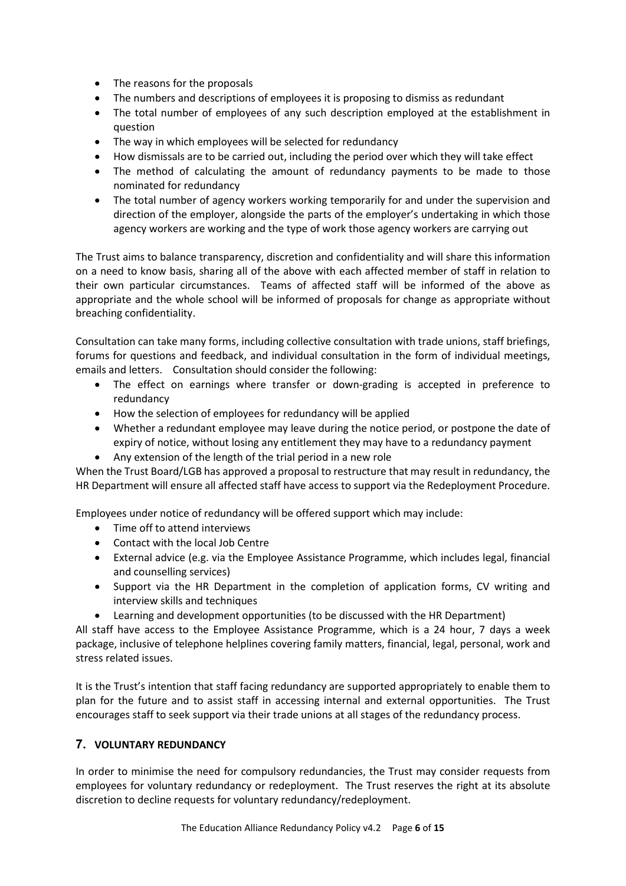- The reasons for the proposals
- The numbers and descriptions of employees it is proposing to dismiss as redundant
- The total number of employees of any such description employed at the establishment in question
- The way in which employees will be selected for redundancy
- How dismissals are to be carried out, including the period over which they will take effect
- The method of calculating the amount of redundancy payments to be made to those nominated for redundancy
- The total number of agency workers working temporarily for and under the supervision and direction of the employer, alongside the parts of the employer's undertaking in which those agency workers are working and the type of work those agency workers are carrying out

The Trust aims to balance transparency, discretion and confidentiality and will share this information on a need to know basis, sharing all of the above with each affected member of staff in relation to their own particular circumstances. Teams of affected staff will be informed of the above as appropriate and the whole school will be informed of proposals for change as appropriate without breaching confidentiality.

Consultation can take many forms, including collective consultation with trade unions, staff briefings, forums for questions and feedback, and individual consultation in the form of individual meetings, emails and letters. Consultation should consider the following:

- The effect on earnings where transfer or down-grading is accepted in preference to redundancy
- How the selection of employees for redundancy will be applied
- Whether a redundant employee may leave during the notice period, or postpone the date of expiry of notice, without losing any entitlement they may have to a redundancy payment
- Any extension of the length of the trial period in a new role

When the Trust Board/LGB has approved a proposal to restructure that may result in redundancy, the HR Department will ensure all affected staff have access to support via the Redeployment Procedure.

Employees under notice of redundancy will be offered support which may include:

- Time off to attend interviews
- Contact with the local Job Centre
- External advice (e.g. via the Employee Assistance Programme, which includes legal, financial and counselling services)
- Support via the HR Department in the completion of application forms, CV writing and interview skills and techniques
- Learning and development opportunities (to be discussed with the HR Department)

All staff have access to the Employee Assistance Programme, which is a 24 hour, 7 days a week package, inclusive of telephone helplines covering family matters, financial, legal, personal, work and stress related issues.

It is the Trust's intention that staff facing redundancy are supported appropriately to enable them to plan for the future and to assist staff in accessing internal and external opportunities. The Trust encourages staff to seek support via their trade unions at all stages of the redundancy process.

#### 7. VOLUNTARY REDUNDANCY

In order to minimise the need for compulsory redundancies, the Trust may consider requests from employees for voluntary redundancy or redeployment. The Trust reserves the right at its absolute discretion to decline requests for voluntary redundancy/redeployment.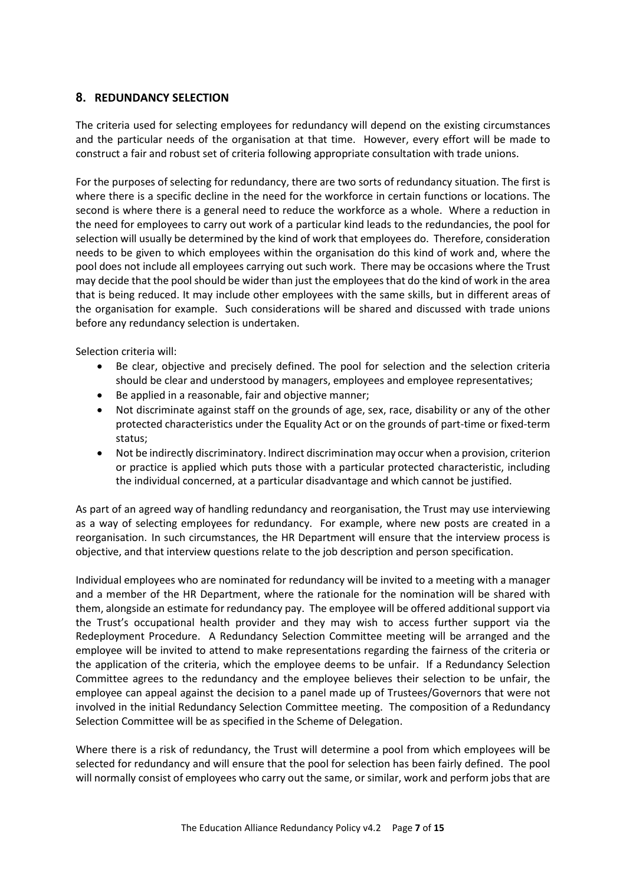#### 8. REDUNDANCY SELECTION

The criteria used for selecting employees for redundancy will depend on the existing circumstances and the particular needs of the organisation at that time. However, every effort will be made to construct a fair and robust set of criteria following appropriate consultation with trade unions.

For the purposes of selecting for redundancy, there are two sorts of redundancy situation. The first is where there is a specific decline in the need for the workforce in certain functions or locations. The second is where there is a general need to reduce the workforce as a whole. Where a reduction in the need for employees to carry out work of a particular kind leads to the redundancies, the pool for selection will usually be determined by the kind of work that employees do. Therefore, consideration needs to be given to which employees within the organisation do this kind of work and, where the pool does not include all employees carrying out such work. There may be occasions where the Trust may decide that the pool should be wider than just the employees that do the kind of work in the area that is being reduced. It may include other employees with the same skills, but in different areas of the organisation for example. Such considerations will be shared and discussed with trade unions before any redundancy selection is undertaken.

Selection criteria will:

- Be clear, objective and precisely defined. The pool for selection and the selection criteria should be clear and understood by managers, employees and employee representatives;
- Be applied in a reasonable, fair and objective manner;
- Not discriminate against staff on the grounds of age, sex, race, disability or any of the other protected characteristics under the Equality Act or on the grounds of part-time or fixed-term status;
- Not be indirectly discriminatory. Indirect discrimination may occur when a provision, criterion or practice is applied which puts those with a particular protected characteristic, including the individual concerned, at a particular disadvantage and which cannot be justified.

As part of an agreed way of handling redundancy and reorganisation, the Trust may use interviewing as a way of selecting employees for redundancy. For example, where new posts are created in a reorganisation. In such circumstances, the HR Department will ensure that the interview process is objective, and that interview questions relate to the job description and person specification.

Individual employees who are nominated for redundancy will be invited to a meeting with a manager and a member of the HR Department, where the rationale for the nomination will be shared with them, alongside an estimate for redundancy pay. The employee will be offered additional support via the Trust's occupational health provider and they may wish to access further support via the Redeployment Procedure. A Redundancy Selection Committee meeting will be arranged and the employee will be invited to attend to make representations regarding the fairness of the criteria or the application of the criteria, which the employee deems to be unfair. If a Redundancy Selection Committee agrees to the redundancy and the employee believes their selection to be unfair, the employee can appeal against the decision to a panel made up of Trustees/Governors that were not involved in the initial Redundancy Selection Committee meeting. The composition of a Redundancy Selection Committee will be as specified in the Scheme of Delegation.

Where there is a risk of redundancy, the Trust will determine a pool from which employees will be selected for redundancy and will ensure that the pool for selection has been fairly defined. The pool will normally consist of employees who carry out the same, or similar, work and perform jobs that are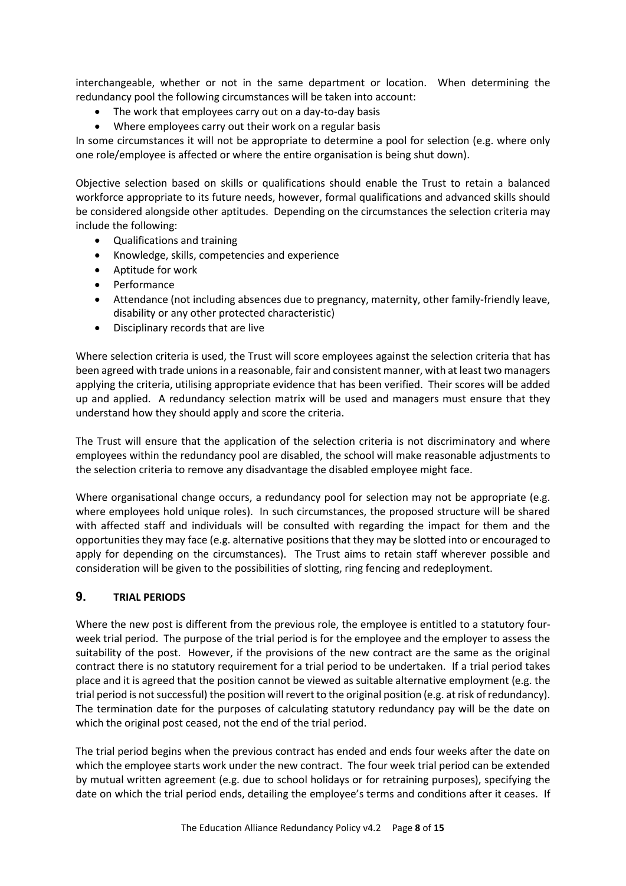interchangeable, whether or not in the same department or location. When determining the redundancy pool the following circumstances will be taken into account:

- The work that employees carry out on a day-to-day basis
- Where employees carry out their work on a regular basis

In some circumstances it will not be appropriate to determine a pool for selection (e.g. where only one role/employee is affected or where the entire organisation is being shut down).

Objective selection based on skills or qualifications should enable the Trust to retain a balanced workforce appropriate to its future needs, however, formal qualifications and advanced skills should be considered alongside other aptitudes. Depending on the circumstances the selection criteria may include the following:

- Qualifications and training
- Knowledge, skills, competencies and experience
- Aptitude for work
- Performance
- Attendance (not including absences due to pregnancy, maternity, other family-friendly leave, disability or any other protected characteristic)
- Disciplinary records that are live

Where selection criteria is used, the Trust will score employees against the selection criteria that has been agreed with trade unions in a reasonable, fair and consistent manner, with at least two managers applying the criteria, utilising appropriate evidence that has been verified. Their scores will be added up and applied. A redundancy selection matrix will be used and managers must ensure that they understand how they should apply and score the criteria.

The Trust will ensure that the application of the selection criteria is not discriminatory and where employees within the redundancy pool are disabled, the school will make reasonable adjustments to the selection criteria to remove any disadvantage the disabled employee might face.

Where organisational change occurs, a redundancy pool for selection may not be appropriate (e.g. where employees hold unique roles). In such circumstances, the proposed structure will be shared with affected staff and individuals will be consulted with regarding the impact for them and the opportunities they may face (e.g. alternative positions that they may be slotted into or encouraged to apply for depending on the circumstances). The Trust aims to retain staff wherever possible and consideration will be given to the possibilities of slotting, ring fencing and redeployment.

#### 9. TRIAL PERIODS

Where the new post is different from the previous role, the employee is entitled to a statutory fourweek trial period. The purpose of the trial period is for the employee and the employer to assess the suitability of the post. However, if the provisions of the new contract are the same as the original contract there is no statutory requirement for a trial period to be undertaken. If a trial period takes place and it is agreed that the position cannot be viewed as suitable alternative employment (e.g. the trial period is not successful) the position will revert to the original position (e.g. at risk of redundancy). The termination date for the purposes of calculating statutory redundancy pay will be the date on which the original post ceased, not the end of the trial period.

The trial period begins when the previous contract has ended and ends four weeks after the date on which the employee starts work under the new contract. The four week trial period can be extended by mutual written agreement (e.g. due to school holidays or for retraining purposes), specifying the date on which the trial period ends, detailing the employee's terms and conditions after it ceases. If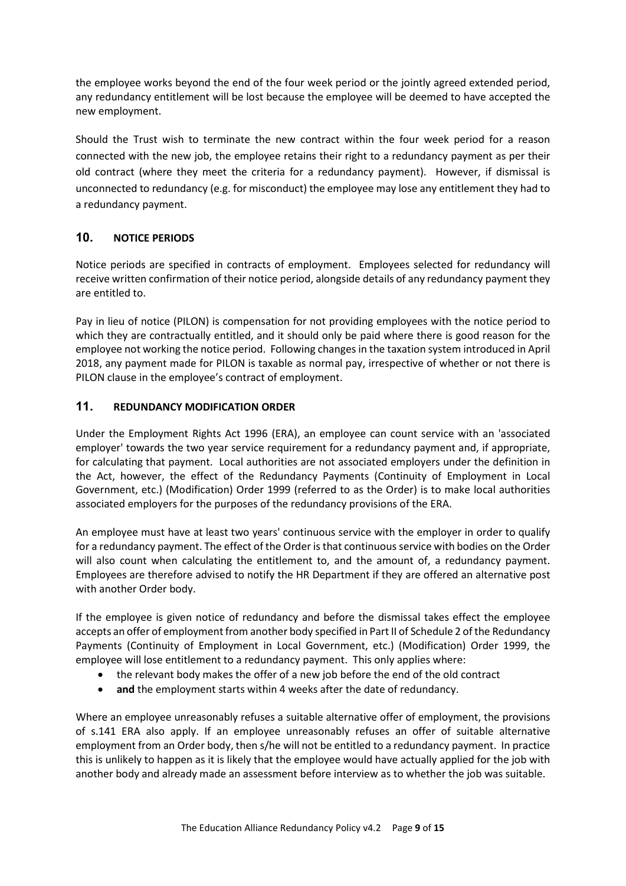the employee works beyond the end of the four week period or the jointly agreed extended period, any redundancy entitlement will be lost because the employee will be deemed to have accepted the new employment.

Should the Trust wish to terminate the new contract within the four week period for a reason connected with the new job, the employee retains their right to a redundancy payment as per their old contract (where they meet the criteria for a redundancy payment). However, if dismissal is unconnected to redundancy (e.g. for misconduct) the employee may lose any entitlement they had to a redundancy payment.

# 10. NOTICE PERIODS

Notice periods are specified in contracts of employment. Employees selected for redundancy will receive written confirmation of their notice period, alongside details of any redundancy payment they are entitled to.

Pay in lieu of notice (PILON) is compensation for not providing employees with the notice period to which they are contractually entitled, and it should only be paid where there is good reason for the employee not working the notice period. Following changes in the taxation system introduced in April 2018, any payment made for PILON is taxable as normal pay, irrespective of whether or not there is PILON clause in the employee's contract of employment.

# 11. REDUNDANCY MODIFICATION ORDER

Under the Employment Rights Act 1996 (ERA), an employee can count service with an 'associated employer' towards the two year service requirement for a redundancy payment and, if appropriate, for calculating that payment. Local authorities are not associated employers under the definition in the Act, however, the effect of the Redundancy Payments (Continuity of Employment in Local Government, etc.) (Modification) Order 1999 (referred to as the Order) is to make local authorities associated employers for the purposes of the redundancy provisions of the ERA.

An employee must have at least two years' continuous service with the employer in order to qualify for a redundancy payment. The effect of the Order is that continuous service with bodies on the Order will also count when calculating the entitlement to, and the amount of, a redundancy payment. Employees are therefore advised to notify the HR Department if they are offered an alternative post with another Order body.

If the employee is given notice of redundancy and before the dismissal takes effect the employee accepts an offer of employment from another body specified in Part II of Schedule 2 of the Redundancy Payments (Continuity of Employment in Local Government, etc.) (Modification) Order 1999, the employee will lose entitlement to a redundancy payment. This only applies where:

- the relevant body makes the offer of a new job before the end of the old contract
- and the employment starts within 4 weeks after the date of redundancy.

Where an employee unreasonably refuses a suitable alternative offer of employment, the provisions of s.141 ERA also apply. If an employee unreasonably refuses an offer of suitable alternative employment from an Order body, then s/he will not be entitled to a redundancy payment. In practice this is unlikely to happen as it is likely that the employee would have actually applied for the job with another body and already made an assessment before interview as to whether the job was suitable.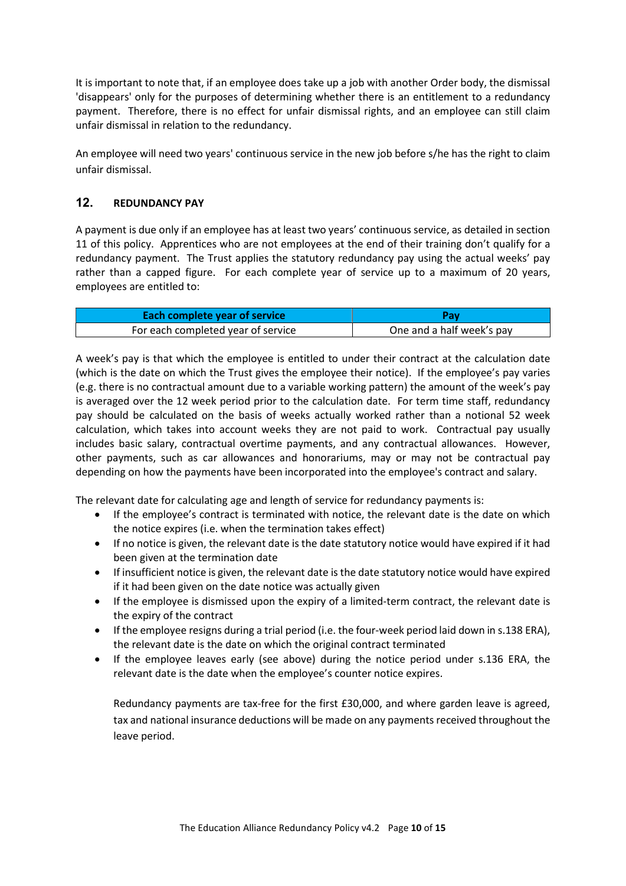It is important to note that, if an employee does take up a job with another Order body, the dismissal 'disappears' only for the purposes of determining whether there is an entitlement to a redundancy payment. Therefore, there is no effect for unfair dismissal rights, and an employee can still claim unfair dismissal in relation to the redundancy.

An employee will need two years' continuous service in the new job before s/he has the right to claim unfair dismissal.

# 12. REDUNDANCY PAY

A payment is due only if an employee has at least two years' continuous service, as detailed in section 11 of this policy. Apprentices who are not employees at the end of their training don't qualify for a redundancy payment. The Trust applies the statutory redundancy pay using the actual weeks' pay rather than a capped figure. For each complete year of service up to a maximum of 20 years, employees are entitled to:

| Each complete year of service      | Pav                       |  |  |  |
|------------------------------------|---------------------------|--|--|--|
| For each completed year of service | One and a half week's pay |  |  |  |

A week's pay is that which the employee is entitled to under their contract at the calculation date (which is the date on which the Trust gives the employee their notice). If the employee's pay varies (e.g. there is no contractual amount due to a variable working pattern) the amount of the week's pay is averaged over the 12 week period prior to the calculation date. For term time staff, redundancy pay should be calculated on the basis of weeks actually worked rather than a notional 52 week calculation, which takes into account weeks they are not paid to work. Contractual pay usually includes basic salary, contractual overtime payments, and any contractual allowances. However, other payments, such as car allowances and honorariums, may or may not be contractual pay depending on how the payments have been incorporated into the employee's contract and salary.

The relevant date for calculating age and length of service for redundancy payments is:

- If the employee's contract is terminated with notice, the relevant date is the date on which the notice expires (i.e. when the termination takes effect)
- If no notice is given, the relevant date is the date statutory notice would have expired if it had been given at the termination date
- If insufficient notice is given, the relevant date is the date statutory notice would have expired if it had been given on the date notice was actually given
- If the employee is dismissed upon the expiry of a limited-term contract, the relevant date is the expiry of the contract
- If the employee resigns during a trial period (i.e. the four-week period laid down in s.138 ERA), the relevant date is the date on which the original contract terminated
- If the employee leaves early (see above) during the notice period under s.136 ERA, the relevant date is the date when the employee's counter notice expires.

Redundancy payments are tax-free for the first £30,000, and where garden leave is agreed, tax and national insurance deductions will be made on any payments received throughout the leave period.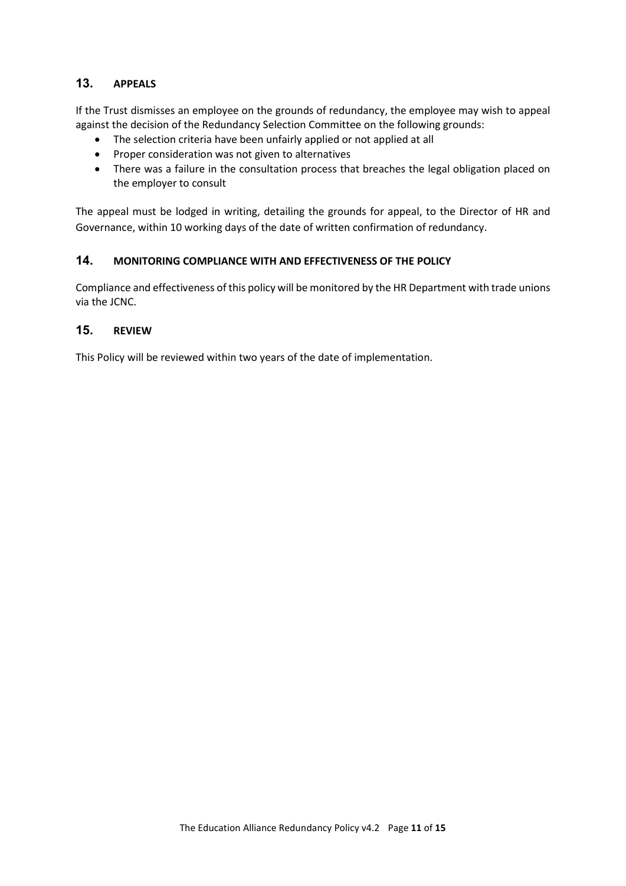#### 13. APPEALS

If the Trust dismisses an employee on the grounds of redundancy, the employee may wish to appeal against the decision of the Redundancy Selection Committee on the following grounds:

- The selection criteria have been unfairly applied or not applied at all
- Proper consideration was not given to alternatives
- There was a failure in the consultation process that breaches the legal obligation placed on the employer to consult

The appeal must be lodged in writing, detailing the grounds for appeal, to the Director of HR and Governance, within 10 working days of the date of written confirmation of redundancy.

## 14. MONITORING COMPLIANCE WITH AND EFFECTIVENESS OF THE POLICY

Compliance and effectiveness of this policy will be monitored by the HR Department with trade unions via the JCNC.

# 15. REVIEW

This Policy will be reviewed within two years of the date of implementation.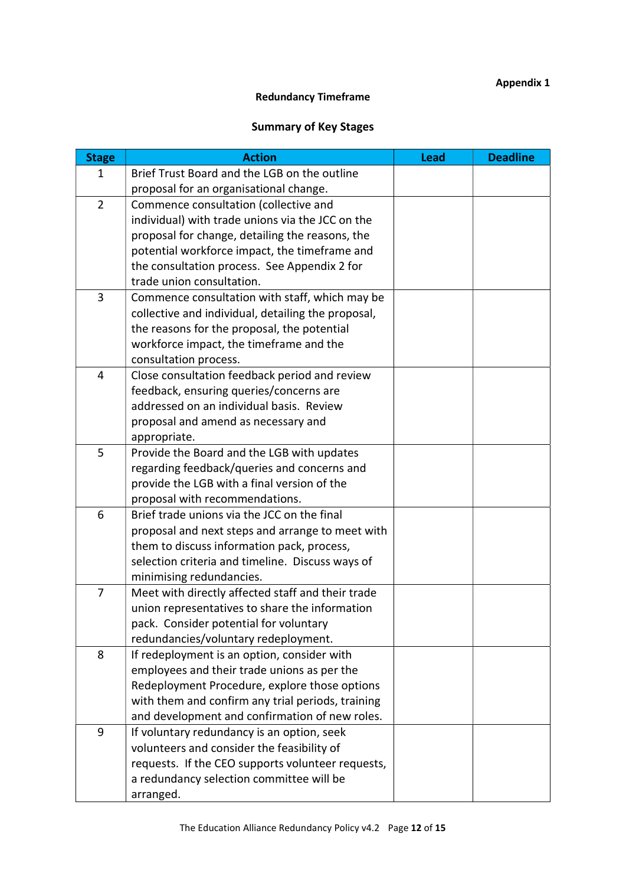# Appendix 1

# Redundancy Timeframe

# Summary of Key Stages

| <b>Stage</b>   | <b>Action</b>                                      | <b>Lead</b> | <b>Deadline</b> |
|----------------|----------------------------------------------------|-------------|-----------------|
| 1              | Brief Trust Board and the LGB on the outline       |             |                 |
|                | proposal for an organisational change.             |             |                 |
| $\overline{2}$ | Commence consultation (collective and              |             |                 |
|                | individual) with trade unions via the JCC on the   |             |                 |
|                | proposal for change, detailing the reasons, the    |             |                 |
|                | potential workforce impact, the timeframe and      |             |                 |
|                | the consultation process. See Appendix 2 for       |             |                 |
|                | trade union consultation.                          |             |                 |
| 3              | Commence consultation with staff, which may be     |             |                 |
|                | collective and individual, detailing the proposal, |             |                 |
|                | the reasons for the proposal, the potential        |             |                 |
|                | workforce impact, the timeframe and the            |             |                 |
|                | consultation process.                              |             |                 |
| $\overline{4}$ | Close consultation feedback period and review      |             |                 |
|                | feedback, ensuring queries/concerns are            |             |                 |
|                | addressed on an individual basis. Review           |             |                 |
|                | proposal and amend as necessary and                |             |                 |
|                | appropriate.                                       |             |                 |
| 5              | Provide the Board and the LGB with updates         |             |                 |
|                | regarding feedback/queries and concerns and        |             |                 |
|                | provide the LGB with a final version of the        |             |                 |
|                | proposal with recommendations.                     |             |                 |
| 6              | Brief trade unions via the JCC on the final        |             |                 |
|                | proposal and next steps and arrange to meet with   |             |                 |
|                | them to discuss information pack, process,         |             |                 |
|                | selection criteria and timeline. Discuss ways of   |             |                 |
|                | minimising redundancies.                           |             |                 |
| 7              | Meet with directly affected staff and their trade  |             |                 |
|                | union representatives to share the information     |             |                 |
|                | pack. Consider potential for voluntary             |             |                 |
|                | redundancies/voluntary redeployment.               |             |                 |
| 8              | If redeployment is an option, consider with        |             |                 |
|                | employees and their trade unions as per the        |             |                 |
|                | Redeployment Procedure, explore those options      |             |                 |
|                | with them and confirm any trial periods, training  |             |                 |
|                | and development and confirmation of new roles.     |             |                 |
| 9              | If voluntary redundancy is an option, seek         |             |                 |
|                | volunteers and consider the feasibility of         |             |                 |
|                | requests. If the CEO supports volunteer requests,  |             |                 |
|                | a redundancy selection committee will be           |             |                 |
|                | arranged.                                          |             |                 |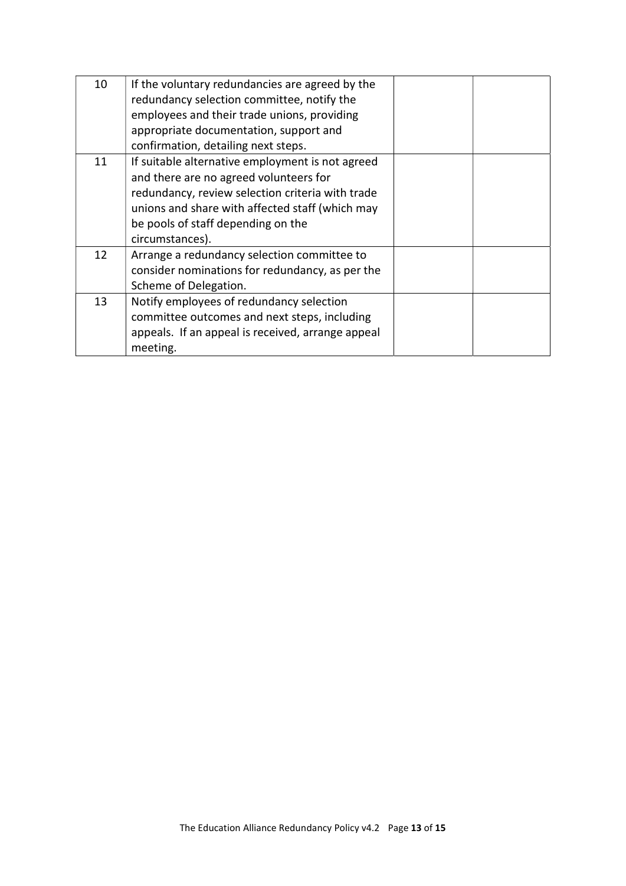| If the voluntary redundancies are agreed by the   |                                            |  |
|---------------------------------------------------|--------------------------------------------|--|
|                                                   |                                            |  |
| employees and their trade unions, providing       |                                            |  |
| appropriate documentation, support and            |                                            |  |
| confirmation, detailing next steps.               |                                            |  |
| If suitable alternative employment is not agreed  |                                            |  |
| and there are no agreed volunteers for            |                                            |  |
| redundancy, review selection criteria with trade  |                                            |  |
| unions and share with affected staff (which may   |                                            |  |
| be pools of staff depending on the                |                                            |  |
| circumstances).                                   |                                            |  |
| Arrange a redundancy selection committee to       |                                            |  |
| consider nominations for redundancy, as per the   |                                            |  |
| Scheme of Delegation.                             |                                            |  |
| Notify employees of redundancy selection          |                                            |  |
| committee outcomes and next steps, including      |                                            |  |
| appeals. If an appeal is received, arrange appeal |                                            |  |
| meeting.                                          |                                            |  |
|                                                   | redundancy selection committee, notify the |  |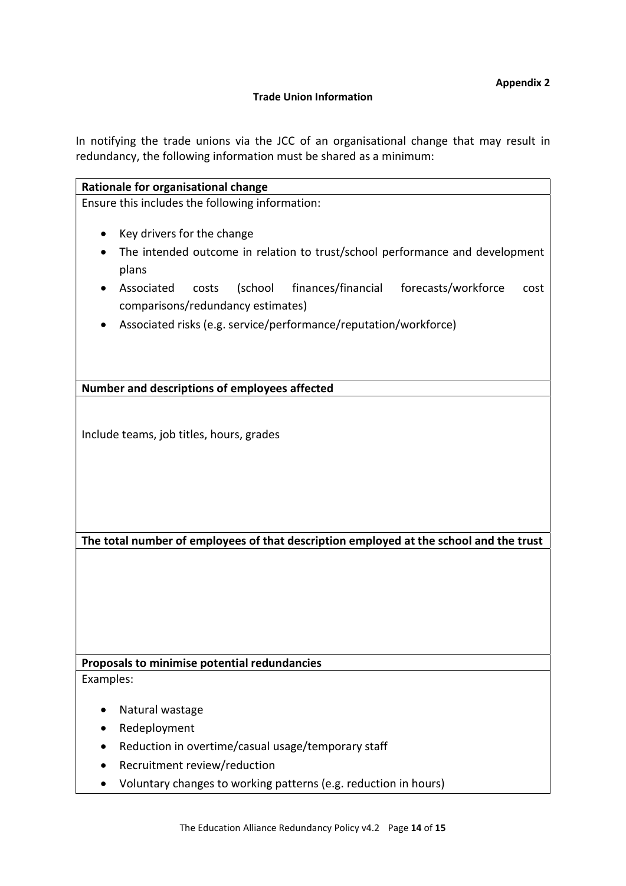#### Trade Union Information

In notifying the trade unions via the JCC of an organisational change that may result in redundancy, the following information must be shared as a minimum:

| Rationale for organisational change                                                                                                                                                                                                                                                                                 |
|---------------------------------------------------------------------------------------------------------------------------------------------------------------------------------------------------------------------------------------------------------------------------------------------------------------------|
| Ensure this includes the following information:                                                                                                                                                                                                                                                                     |
| Key drivers for the change<br>The intended outcome in relation to trust/school performance and development<br>plans<br>(school<br>finances/financial<br>forecasts/workforce<br>Associated<br>costs<br>cost<br>comparisons/redundancy estimates)<br>Associated risks (e.g. service/performance/reputation/workforce) |
| Number and descriptions of employees affected                                                                                                                                                                                                                                                                       |
| Include teams, job titles, hours, grades                                                                                                                                                                                                                                                                            |
| The total number of employees of that description employed at the school and the trust                                                                                                                                                                                                                              |
|                                                                                                                                                                                                                                                                                                                     |
| Proposals to minimise potential redundancies                                                                                                                                                                                                                                                                        |
| Examples:                                                                                                                                                                                                                                                                                                           |
| Natural wastage                                                                                                                                                                                                                                                                                                     |
| Redeployment                                                                                                                                                                                                                                                                                                        |
| Reduction in overtime/casual usage/temporary staff                                                                                                                                                                                                                                                                  |
| Recruitment review/reduction                                                                                                                                                                                                                                                                                        |
| Voluntary changes to working patterns (e.g. reduction in hours)                                                                                                                                                                                                                                                     |